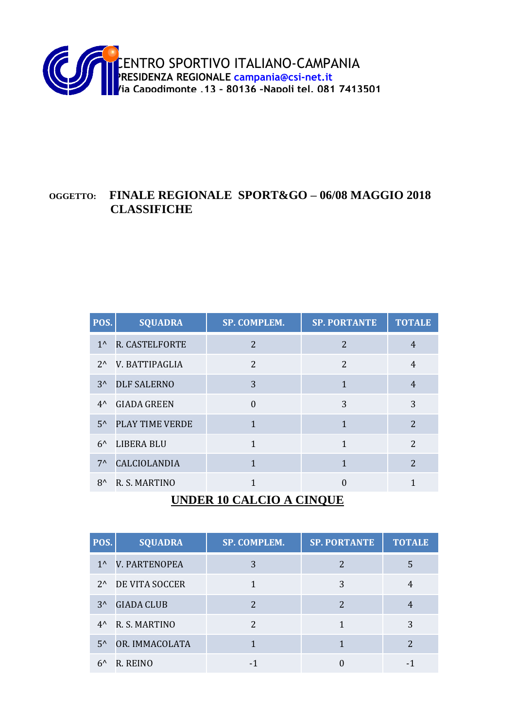

#### **OGGETTO: FINALE REGIONALE SPORT&GO – 06/08 MAGGIO 2018 CLASSIFICHE**

| POS.                              | <b>SQUADRA</b>      | SP. COMPLEM.             | <b>SP. PORTANTE</b> | <b>TOTALE</b>            |
|-----------------------------------|---------------------|--------------------------|---------------------|--------------------------|
| $1^{\wedge}$                      | R. CASTELFORTE      | $\overline{2}$           | 2                   | $\overline{4}$           |
| $2^{\wedge}$                      | V. BATTIPAGLIA      | $\overline{\mathcal{L}}$ | 2                   | $\overline{4}$           |
| $3^{\prime}$                      | <b>DLF SALERNO</b>  | 3                        | 1                   | $\overline{4}$           |
| $4^{\prime}$                      | <b>GIADA GREEN</b>  | $\theta$                 | 3                   | 3                        |
| $5^{\prime}$                      | PLAY TIME VERDE     | $\mathbf{1}$             | $\mathbf{1}$        | $\overline{2}$           |
| $6^{\prime}$                      | LIBERA BLU          | 1                        | 1                   | $\overline{\mathcal{L}}$ |
| $7^{\wedge}$                      | <b>CALCIOLANDIA</b> | $\mathbf{1}$             | $\mathbf{1}$        | $\overline{2}$           |
| $8^{\wedge}$                      | R. S. MARTINO       | 1                        | $\overline{0}$      | $\mathbf{1}$             |
| <b>IBIDED 10 CALCIO A CINOLIE</b> |                     |                          |                     |                          |

#### **UNDER 10 CALCIO A CINQUE**

| POS.         | <b>SQUADRA</b>               | SP. COMPLEM. | <b>SP. PORTANTE</b> | <b>TOTALE</b> |
|--------------|------------------------------|--------------|---------------------|---------------|
| $1^{\prime}$ | <b>V. PARTENOPEA</b>         | 3            | 2                   | 5             |
|              | 2^ DE VITA SOCCER            |              | 3                   |               |
| $3^{\prime}$ | <b>GIADA CLUB</b>            | 2            | 2                   |               |
|              | 4 <sup>^</sup> R. S. MARTINO | 2            |                     | 3             |
| $5^{\prime}$ | OR. IMMACOLATA               |              |                     |               |
| $6^{\prime}$ | R. REINO                     |              |                     |               |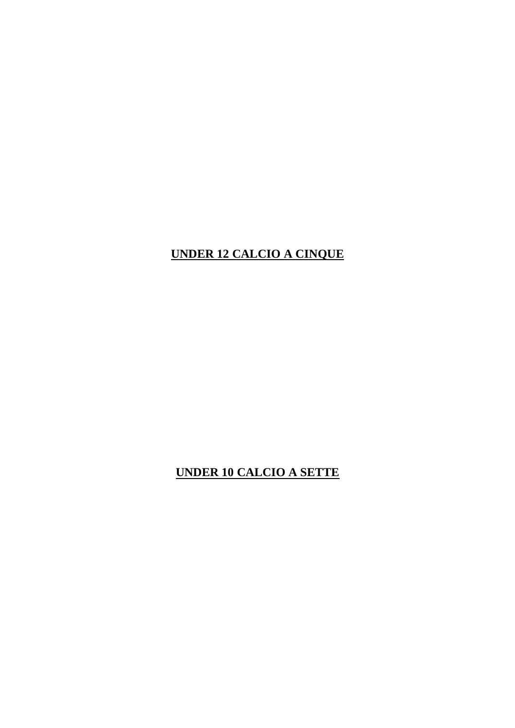#### **UNDER 12 CALCIO A CINQUE**

# **UNDER 10 CALCIO A SETTE**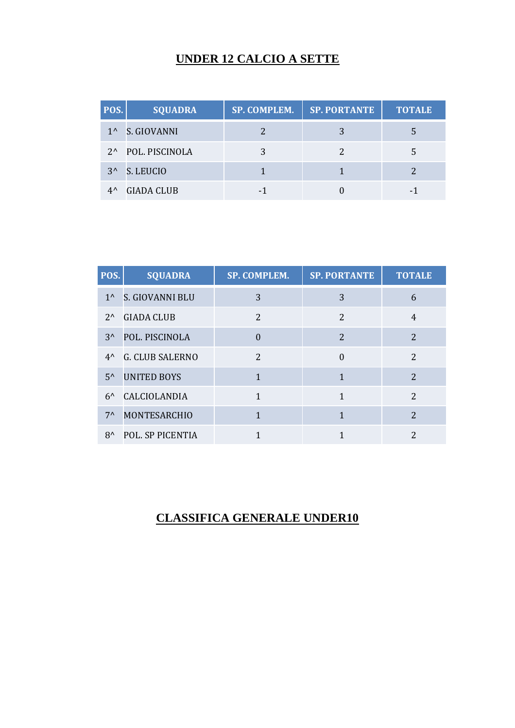## **UNDER 12 CALCIO A SETTE**

| POS.         | <b>SQUADRA</b>    | SP. COMPLEM. | <b>SP. PORTANTE</b> | <b>TOTALE</b> |
|--------------|-------------------|--------------|---------------------|---------------|
|              | 1^ S. GIOVANNI    |              |                     |               |
|              | 2^ POL. PISCINOLA |              |                     |               |
|              | 3^ S. LEUCIO      |              |                     |               |
| $4^{\wedge}$ | <b>GIADA CLUB</b> |              |                     |               |

| POS.         | <b>SQUADRA</b>         | SP. COMPLEM.             | <b>SP. PORTANTE</b>      | <b>TOTALE</b>            |
|--------------|------------------------|--------------------------|--------------------------|--------------------------|
| $1^{\wedge}$ | S. GIOVANNI BLU        | 3                        | 3                        | 6                        |
| $2^{\wedge}$ | <b>GIADA CLUB</b>      | $\overline{\mathcal{L}}$ | $\overline{\mathcal{L}}$ | $\overline{4}$           |
| $3^{\prime}$ | POL. PISCINOLA         | $\overline{0}$           | $\overline{2}$           | $\overline{2}$           |
| $4^{\wedge}$ | <b>G. CLUB SALERNO</b> | $\overline{\mathcal{L}}$ | $\Omega$                 | $\overline{2}$           |
| $5^{\prime}$ | <b>UNITED BOYS</b>     | 1                        |                          | $\overline{2}$           |
| $6^{\prime}$ | CALCIOLANDIA           | 1                        | 1                        | $\overline{2}$           |
| $7^{\wedge}$ | <b>MONTESARCHIO</b>    | 1                        | 1                        | $\overline{2}$           |
| $8^{\wedge}$ | POL. SP PICENTIA       |                          |                          | $\overline{\mathcal{L}}$ |

## **CLASSIFICA GENERALE UNDER10**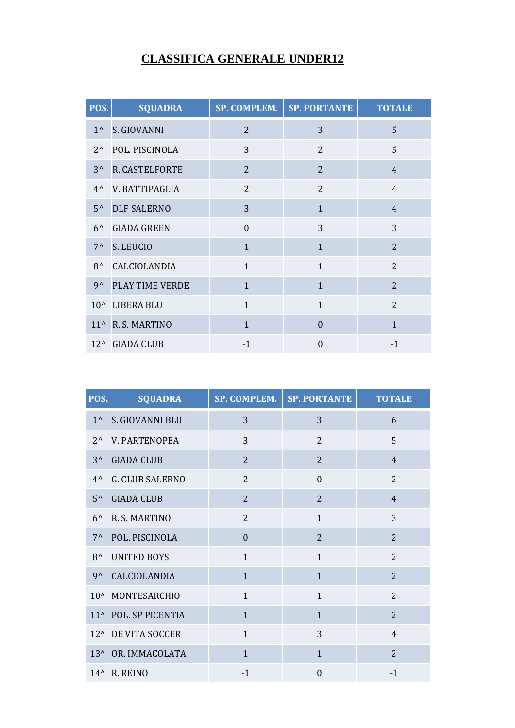#### **CLASSIFICA GENERALE UNDER12**

| POS.         | <b>SQUADRA</b>     | SP. COMPLEM.   | <b>SP. PORTANTE</b> | <b>TOTALE</b>  |
|--------------|--------------------|----------------|---------------------|----------------|
| $1^{\prime}$ | S. GIOVANNI        | 2              | 3                   | 5              |
| $2^{\wedge}$ | POL. PISCINOLA     | 3              | 2                   | 5              |
| $3^{\wedge}$ | R. CASTELFORTE     | 2              | 2                   | $\overline{4}$ |
| $4^{\prime}$ | V. BATTIPAGLIA     | $\overline{2}$ | $\overline{2}$      | $\overline{4}$ |
| $5^{\wedge}$ | <b>DLF SALERNO</b> | 3              | $\mathbf{1}$        | $\overline{4}$ |
| $6^{\prime}$ | <b>GIADA GREEN</b> | $\Omega$       | 3                   | 3              |
| $7^{\wedge}$ | S. LEUCIO          | $\mathbf{1}$   | $\mathbf{1}$        | $\overline{2}$ |
| $8^{\wedge}$ | CALCIOLANDIA       | $\mathbf{1}$   | $\mathbf{1}$        | $\overline{2}$ |
| $9^{\wedge}$ | PLAY TIME VERDE    | $\mathbf{1}$   | $\mathbf{1}$        | $\overline{2}$ |
|              | 10^ LIBERA BLU     | $\mathbf{1}$   | $\mathbf{1}$        | $\overline{2}$ |
|              | 11^ R. S. MARTINO  | $\mathbf{1}$   | $\overline{0}$      | $\mathbf{1}$   |
|              | 12^ GIADA CLUB     | $-1$           | $\Omega$            | $-1$           |

| POS.         | <b>SQUADRA</b>           | <b>SP. COMPLEM.</b> | <b>SP. PORTANTE</b> | <b>TOTALE</b>  |
|--------------|--------------------------|---------------------|---------------------|----------------|
| $1^{\wedge}$ | S. GIOVANNI BLU          | 3                   | 3                   | 6              |
| $2^{\wedge}$ | V. PARTENOPEA            | 3                   | $\overline{2}$      | 5              |
| $3^{\wedge}$ | <b>GIADA CLUB</b>        | $\overline{2}$      | $\overline{2}$      | $\overline{4}$ |
| $4^{\wedge}$ | <b>G. CLUB SALERNO</b>   | $\overline{2}$      | $\Omega$            | $\overline{2}$ |
| $5^{\prime}$ | <b>GIADA CLUB</b>        | $\overline{2}$      | $\overline{2}$      | $\overline{4}$ |
| $6^{\prime}$ | R. S. MARTINO            | $\overline{2}$      | $\mathbf{1}$        | 3              |
| $7^{\wedge}$ | POL. PISCINOLA           | $\Omega$            | $\overline{2}$      | $\overline{2}$ |
| $8^{\wedge}$ | <b>UNITED BOYS</b>       | $\mathbf{1}$        | $\mathbf{1}$        | $\overline{2}$ |
| $9^{\wedge}$ | CALCIOLANDIA             | $\mathbf{1}$        | $\mathbf{1}$        | $\overline{2}$ |
|              | 10^ MONTESARCHIO         | $\mathbf{1}$        | $\mathbf{1}$        | $\overline{2}$ |
|              | 11^ POL. SP PICENTIA     | $\mathbf{1}$        | $\mathbf{1}$        | $\overline{2}$ |
|              | 12^ DE VITA SOCCER       | $\mathbf{1}$        | 3                   | $\overline{4}$ |
|              | 13^ OR. IMMACOLATA       | $\mathbf{1}$        | $\mathbf{1}$        | $\overline{2}$ |
|              | 14 <sup>^</sup> R. REINO | $-1$                | $\theta$            | $-1$           |